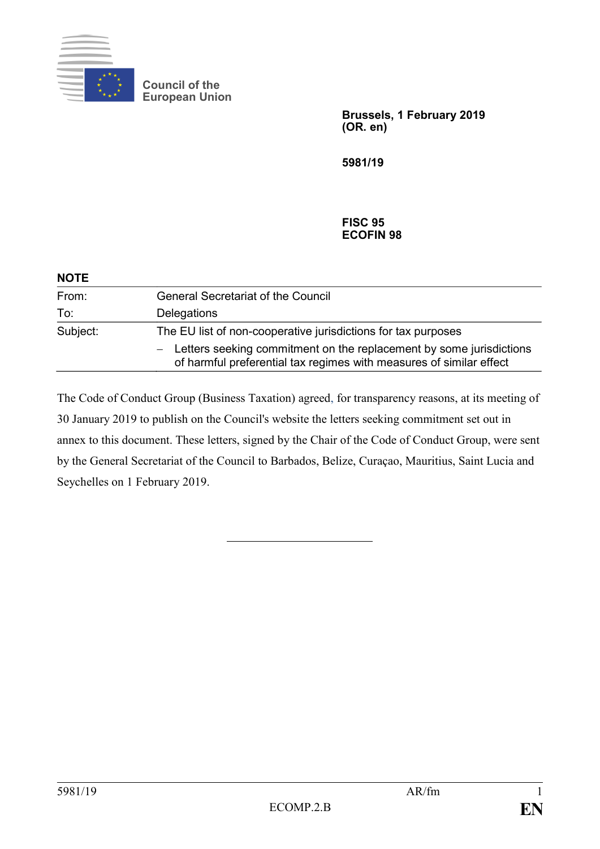

**Council of the European Union**

> **Brussels, 1 February 2019 (OR. en)**

**5981/19**

#### **FISC 95 ECOFIN 98**

| <b>NOTE</b> |                                                                                                                                              |
|-------------|----------------------------------------------------------------------------------------------------------------------------------------------|
| From:       | <b>General Secretariat of the Council</b>                                                                                                    |
| To:         | Delegations                                                                                                                                  |
| Subject:    | The EU list of non-cooperative jurisdictions for tax purposes                                                                                |
|             | - Letters seeking commitment on the replacement by some jurisdictions<br>of harmful preferential tax regimes with measures of similar effect |

The Code of Conduct Group (Business Taxation) agreed, for transparency reasons, at its meeting of 30 January 2019 to publish on the Council's website the letters seeking commitment set out in annex to this document. These letters, signed by the Chair of the Code of Conduct Group, were sent by the General Secretariat of the Council to Barbados, Belize, Curaçao, Mauritius, Saint Lucia and Seychelles on 1 February 2019.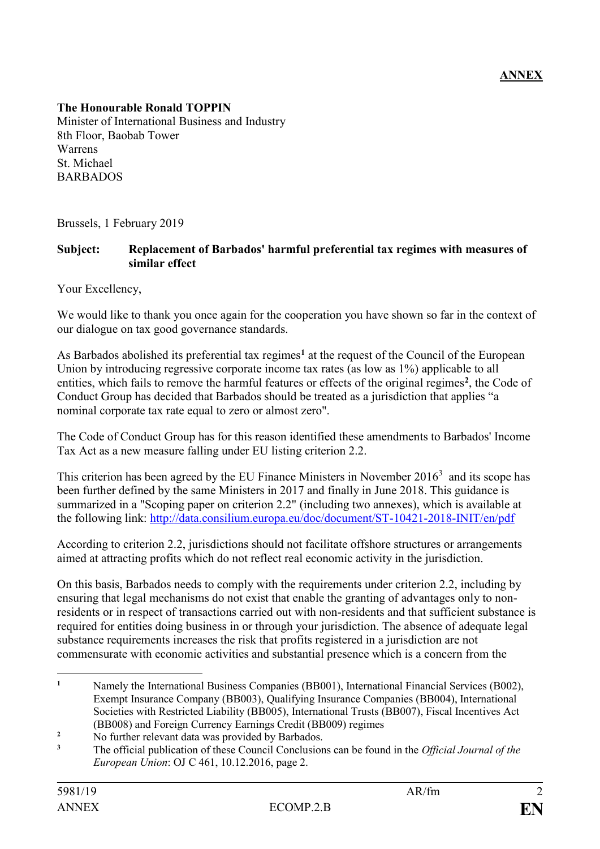### **The Honourable Ronald TOPPIN**

Minister of International Business and Industry 8th Floor, Baobab Tower Warrens St. Michael **BARBADOS** 

Brussels, 1 February 2019

#### **Subject: Replacement of Barbados' harmful preferential tax regimes with measures of similar effect**

Your Excellency,

We would like to thank you once again for the cooperation you have shown so far in the context of our dialogue on tax good governance standards.

As Barbados abolished its preferential tax regimes**<sup>1</sup>** at the request of the Council of the European Union by introducing regressive corporate income tax rates (as low as 1%) applicable to all entities, which fails to remove the harmful features or effects of the original regimes<sup>2</sup>, the Code of Conduct Group has decided that Barbados should be treated as a jurisdiction that applies "a nominal corporate tax rate equal to zero or almost zero".

The Code of Conduct Group has for this reason identified these amendments to Barbados' Income Tax Act as a new measure falling under EU listing criterion 2.2.

This criterion has been agreed by the EU Finance Ministers in November  $2016<sup>3</sup>$  and its scope has been further defined by the same Ministers in 2017 and finally in June 2018. This guidance is summarized in a "Scoping paper on criterion 2.2" (including two annexes), which is available at the following link:<http://data.consilium.europa.eu/doc/document/ST-10421-2018-INIT/en/pdf>

According to criterion 2.2, jurisdictions should not facilitate offshore structures or arrangements aimed at attracting profits which do not reflect real economic activity in the jurisdiction.

On this basis, Barbados needs to comply with the requirements under criterion 2.2, including by ensuring that legal mechanisms do not exist that enable the granting of advantages only to nonresidents or in respect of transactions carried out with non-residents and that sufficient substance is required for entities doing business in or through your jurisdiction. The absence of adequate legal substance requirements increases the risk that profits registered in a jurisdiction are not commensurate with economic activities and substantial presence which is a concern from the

 $\mathbf{1}$ **<sup>1</sup>** Namely the International Business Companies (BB001), International Financial Services (B002), Exempt Insurance Company (BB003), Qualifying Insurance Companies (BB004), International Societies with Restricted Liability (BB005), International Trusts (BB007), Fiscal Incentives Act (BB008) and Foreign Currency Earnings Credit (BB009) regimes

<sup>&</sup>lt;sup>2</sup> No further relevant data was provided by Barbados.

**<sup>3</sup>** The official publication of these Council Conclusions can be found in the *Official Journal of the European Union*: OJ C 461, 10.12.2016, page 2.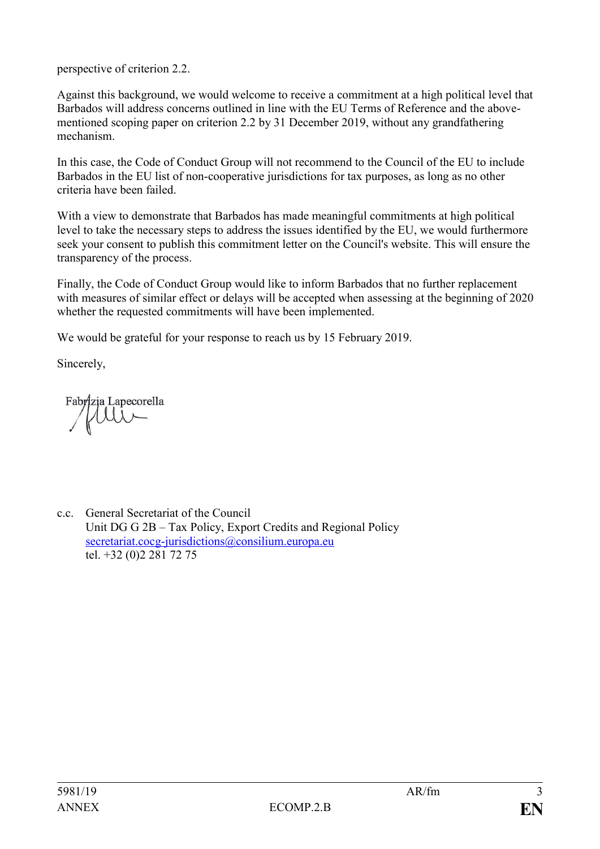perspective of criterion 2.2.

Against this background, we would welcome to receive a commitment at a high political level that Barbados will address concerns outlined in line with the EU Terms of Reference and the abovementioned scoping paper on criterion 2.2 by 31 December 2019, without any grandfathering mechanism.

In this case, the Code of Conduct Group will not recommend to the Council of the EU to include Barbados in the EU list of non-cooperative jurisdictions for tax purposes, as long as no other criteria have been failed.

With a view to demonstrate that Barbados has made meaningful commitments at high political level to take the necessary steps to address the issues identified by the EU, we would furthermore seek your consent to publish this commitment letter on the Council's website. This will ensure the transparency of the process.

Finally, the Code of Conduct Group would like to inform Barbados that no further replacement with measures of similar effect or delays will be accepted when assessing at the beginning of 2020 whether the requested commitments will have been implemented.

We would be grateful for your response to reach us by 15 February 2019.

Sincerely,

Fabrizia Lapecorella tui

c.c. General Secretariat of the Council Unit DG G 2B – Tax Policy, Export Credits and Regional Policy [secretariat.cocg-jurisdictions@consilium.europa.eu](mailto:secretariat.cocg-jurisdictions@consilium.europa.eu) tel. +32 (0)2 281 72 75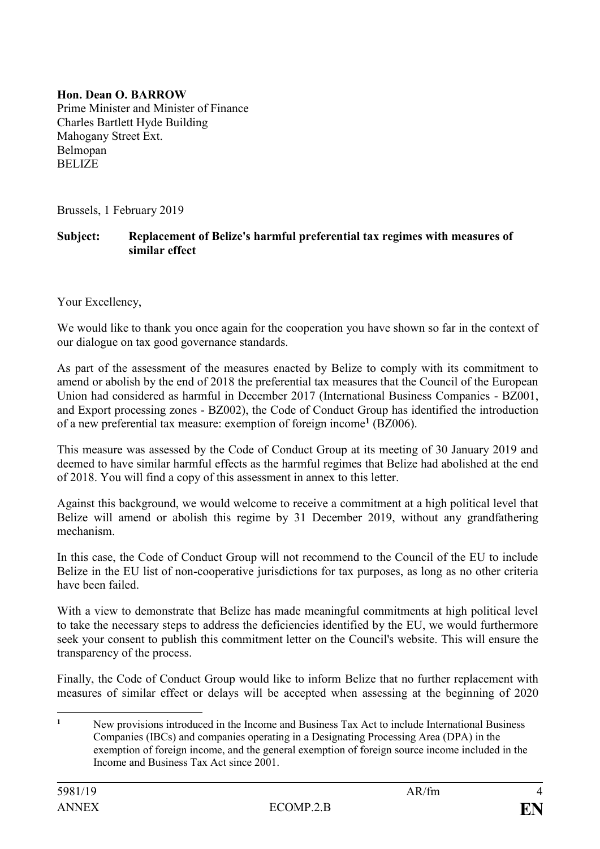**Hon. Dean O. BARROW** Prime Minister and Minister of Finance Charles Bartlett Hyde Building Mahogany Street Ext. Belmopan **BELIZE** 

Brussels, 1 February 2019

#### **Subject: Replacement of Belize's harmful preferential tax regimes with measures of similar effect**

Your Excellency,

We would like to thank you once again for the cooperation you have shown so far in the context of our dialogue on tax good governance standards.

As part of the assessment of the measures enacted by Belize to comply with its commitment to amend or abolish by the end of 2018 the preferential tax measures that the Council of the European Union had considered as harmful in December 2017 (International Business Companies - BZ001, and Export processing zones - BZ002), the Code of Conduct Group has identified the introduction of a new preferential tax measure: exemption of foreign income**<sup>1</sup>** (BZ006).

This measure was assessed by the Code of Conduct Group at its meeting of 30 January 2019 and deemed to have similar harmful effects as the harmful regimes that Belize had abolished at the end of 2018. You will find a copy of this assessment in annex to this letter.

Against this background, we would welcome to receive a commitment at a high political level that Belize will amend or abolish this regime by 31 December 2019, without any grandfathering mechanism.

In this case, the Code of Conduct Group will not recommend to the Council of the EU to include Belize in the EU list of non-cooperative jurisdictions for tax purposes, as long as no other criteria have been failed.

With a view to demonstrate that Belize has made meaningful commitments at high political level to take the necessary steps to address the deficiencies identified by the EU, we would furthermore seek your consent to publish this commitment letter on the Council's website. This will ensure the transparency of the process.

Finally, the Code of Conduct Group would like to inform Belize that no further replacement with measures of similar effect or delays will be accepted when assessing at the beginning of 2020

 $\mathbf{1}$ **<sup>1</sup>** New provisions introduced in the Income and Business Tax Act to include International Business Companies (IBCs) and companies operating in a Designating Processing Area (DPA) in the exemption of foreign income, and the general exemption of foreign source income included in the Income and Business Tax Act since 2001.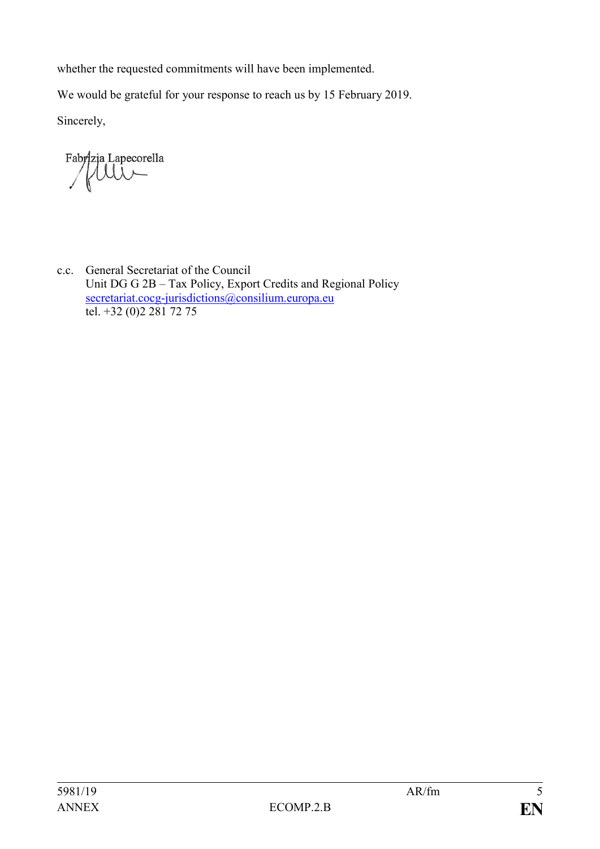whether the requested commitments will have been implemented.

We would be grateful for your response to reach us by 15 February 2019.

Sincerely,

Fabrizia Lapecorella

c.c. General Secretariat of the Council Unit DG G 2B – Tax Policy, Export Credits and Regional Policy [secretariat.cocg-jurisdictions@consilium.europa.eu](mailto:secretariat.cocg-jurisdictions@consilium.europa.eu) tel. +32 (0)2 281 72 75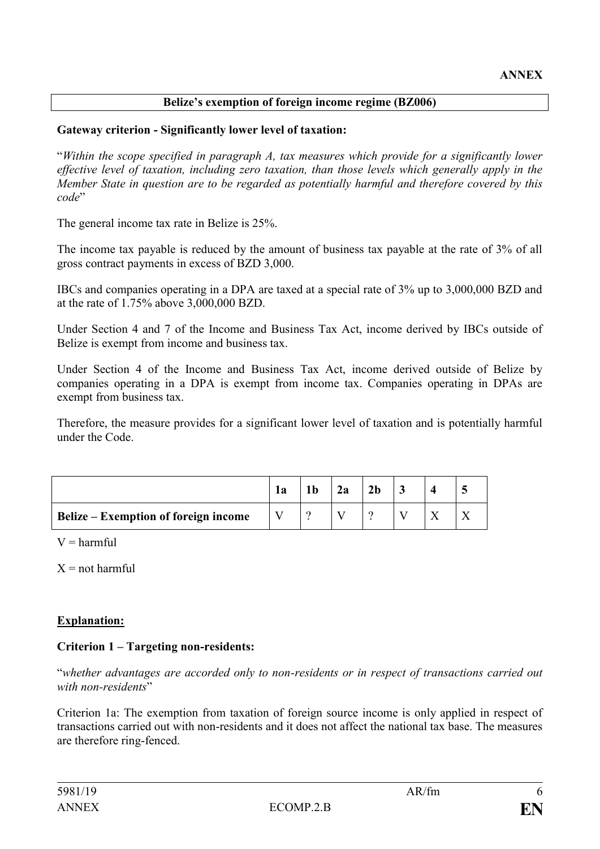## **Belize's exemption of foreign income regime (BZ006)**

### **Gateway criterion - Significantly lower level of taxation:**

"*Within the scope specified in paragraph A, tax measures which provide for a significantly lower effective level of taxation, including zero taxation, than those levels which generally apply in the Member State in question are to be regarded as potentially harmful and therefore covered by this code*"

The general income tax rate in Belize is 25%.

The income tax payable is reduced by the amount of business tax payable at the rate of 3% of all gross contract payments in excess of BZD 3,000.

IBCs and companies operating in a DPA are taxed at a special rate of 3% up to 3,000,000 BZD and at the rate of 1.75% above 3,000,000 BZD.

Under Section 4 and 7 of the Income and Business Tax Act, income derived by IBCs outside of Belize is exempt from income and business tax.

Under Section 4 of the Income and Business Tax Act, income derived outside of Belize by companies operating in a DPA is exempt from income tax. Companies operating in DPAs are exempt from business tax.

Therefore, the measure provides for a significant lower level of taxation and is potentially harmful under the Code.

|                                             | 1a | 2a | 2 <sub>b</sub> |  |  |
|---------------------------------------------|----|----|----------------|--|--|
| <b>Belize – Exemption of foreign income</b> |    |    |                |  |  |

 $V =$  harmful

 $X = not$  harmful

## **Explanation:**

## **Criterion 1 – Targeting non-residents:**

"*whether advantages are accorded only to non-residents or in respect of transactions carried out with non-residents*"

Criterion 1a: The exemption from taxation of foreign source income is only applied in respect of transactions carried out with non-residents and it does not affect the national tax base. The measures are therefore ring-fenced.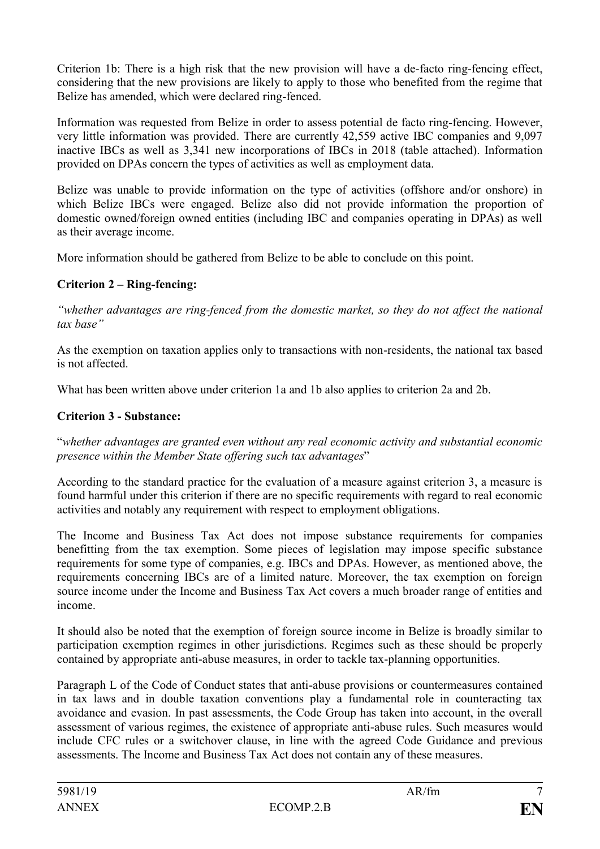Criterion 1b: There is a high risk that the new provision will have a de-facto ring-fencing effect, considering that the new provisions are likely to apply to those who benefited from the regime that Belize has amended, which were declared ring-fenced.

Information was requested from Belize in order to assess potential de facto ring-fencing. However, very little information was provided. There are currently 42,559 active IBC companies and 9,097 inactive IBCs as well as 3,341 new incorporations of IBCs in 2018 (table attached). Information provided on DPAs concern the types of activities as well as employment data.

Belize was unable to provide information on the type of activities (offshore and/or onshore) in which Belize IBCs were engaged. Belize also did not provide information the proportion of domestic owned/foreign owned entities (including IBC and companies operating in DPAs) as well as their average income.

More information should be gathered from Belize to be able to conclude on this point.

## **Criterion 2 – Ring-fencing:**

*"whether advantages are ring-fenced from the domestic market, so they do not affect the national tax base"*

As the exemption on taxation applies only to transactions with non-residents, the national tax based is not affected.

What has been written above under criterion 1a and 1b also applies to criterion 2a and 2b.

## **Criterion 3 - Substance:**

"*whether advantages are granted even without any real economic activity and substantial economic presence within the Member State offering such tax advantages*"

According to the standard practice for the evaluation of a measure against criterion 3, a measure is found harmful under this criterion if there are no specific requirements with regard to real economic activities and notably any requirement with respect to employment obligations.

The Income and Business Tax Act does not impose substance requirements for companies benefitting from the tax exemption. Some pieces of legislation may impose specific substance requirements for some type of companies, e.g. IBCs and DPAs. However, as mentioned above, the requirements concerning IBCs are of a limited nature. Moreover, the tax exemption on foreign source income under the Income and Business Tax Act covers a much broader range of entities and income.

It should also be noted that the exemption of foreign source income in Belize is broadly similar to participation exemption regimes in other jurisdictions. Regimes such as these should be properly contained by appropriate anti-abuse measures, in order to tackle tax-planning opportunities.

Paragraph L of the Code of Conduct states that anti-abuse provisions or countermeasures contained in tax laws and in double taxation conventions play a fundamental role in counteracting tax avoidance and evasion. In past assessments, the Code Group has taken into account, in the overall assessment of various regimes, the existence of appropriate anti-abuse rules. Such measures would include CFC rules or a switchover clause, in line with the agreed Code Guidance and previous assessments. The Income and Business Tax Act does not contain any of these measures.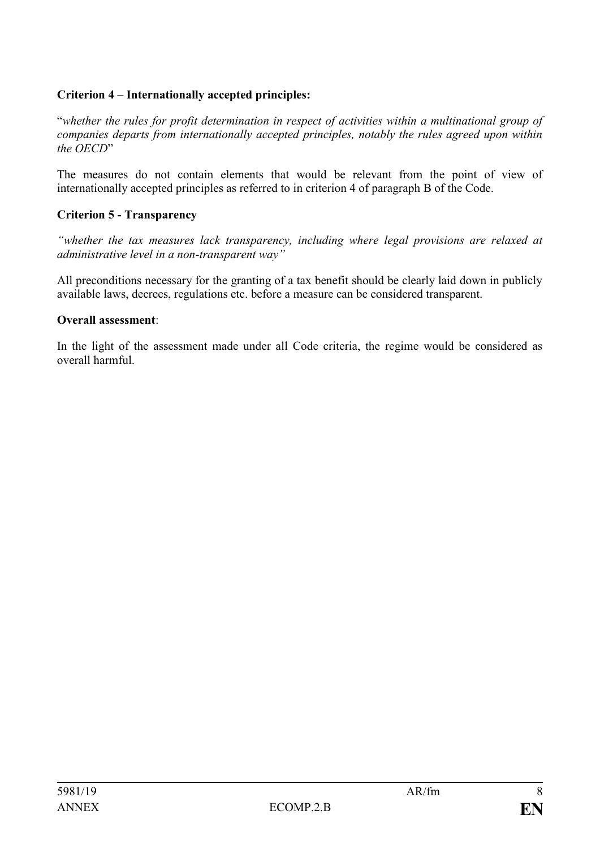## **Criterion 4 – Internationally accepted principles:**

"*whether the rules for profit determination in respect of activities within a multinational group of companies departs from internationally accepted principles, notably the rules agreed upon within the OECD*"

The measures do not contain elements that would be relevant from the point of view of internationally accepted principles as referred to in criterion 4 of paragraph B of the Code.

## **Criterion 5 - Transparency**

*"whether the tax measures lack transparency, including where legal provisions are relaxed at administrative level in a non-transparent way"*

All preconditions necessary for the granting of a tax benefit should be clearly laid down in publicly available laws, decrees, regulations etc. before a measure can be considered transparent.

#### **Overall assessment**:

In the light of the assessment made under all Code criteria, the regime would be considered as overall harmful.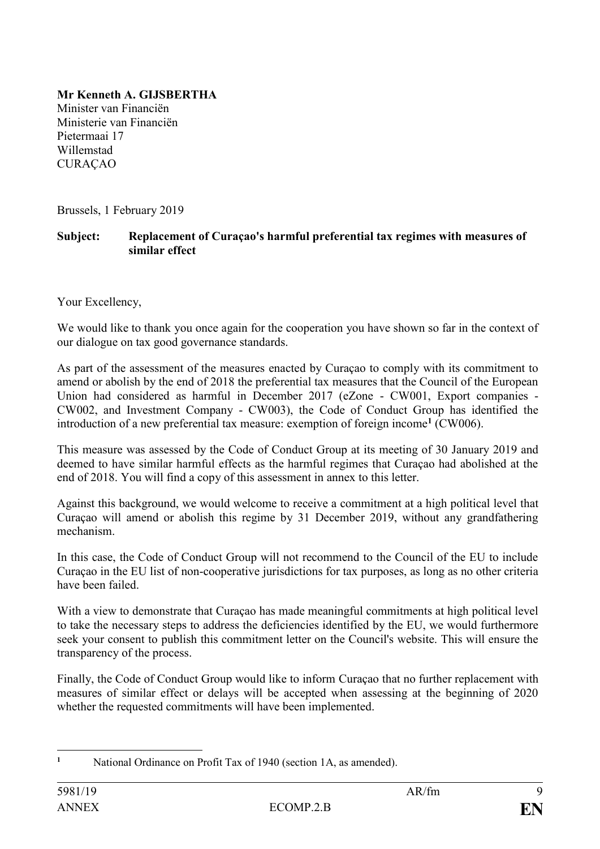# **Mr Kenneth A. GIJSBERTHA**

Minister van Financiën Ministerie van Financiën Pietermaai 17 Willemstad CURAÇAO

Brussels, 1 February 2019

### **Subject: Replacement of Curaçao's harmful preferential tax regimes with measures of similar effect**

Your Excellency,

We would like to thank you once again for the cooperation you have shown so far in the context of our dialogue on tax good governance standards.

As part of the assessment of the measures enacted by Curaçao to comply with its commitment to amend or abolish by the end of 2018 the preferential tax measures that the Council of the European Union had considered as harmful in December 2017 (eZone - CW001, Export companies - CW002, and Investment Company - CW003), the Code of Conduct Group has identified the introduction of a new preferential tax measure: exemption of foreign income**<sup>1</sup>** (CW006).

This measure was assessed by the Code of Conduct Group at its meeting of 30 January 2019 and deemed to have similar harmful effects as the harmful regimes that Curaçao had abolished at the end of 2018. You will find a copy of this assessment in annex to this letter.

Against this background, we would welcome to receive a commitment at a high political level that Curaçao will amend or abolish this regime by 31 December 2019, without any grandfathering mechanism.

In this case, the Code of Conduct Group will not recommend to the Council of the EU to include Curaçao in the EU list of non-cooperative jurisdictions for tax purposes, as long as no other criteria have been failed.

With a view to demonstrate that Curaçao has made meaningful commitments at high political level to take the necessary steps to address the deficiencies identified by the EU, we would furthermore seek your consent to publish this commitment letter on the Council's website. This will ensure the transparency of the process.

Finally, the Code of Conduct Group would like to inform Curaçao that no further replacement with measures of similar effect or delays will be accepted when assessing at the beginning of 2020 whether the requested commitments will have been implemented.

<sup>1</sup> **<sup>1</sup>** National Ordinance on Profit Tax of 1940 (section 1A, as amended).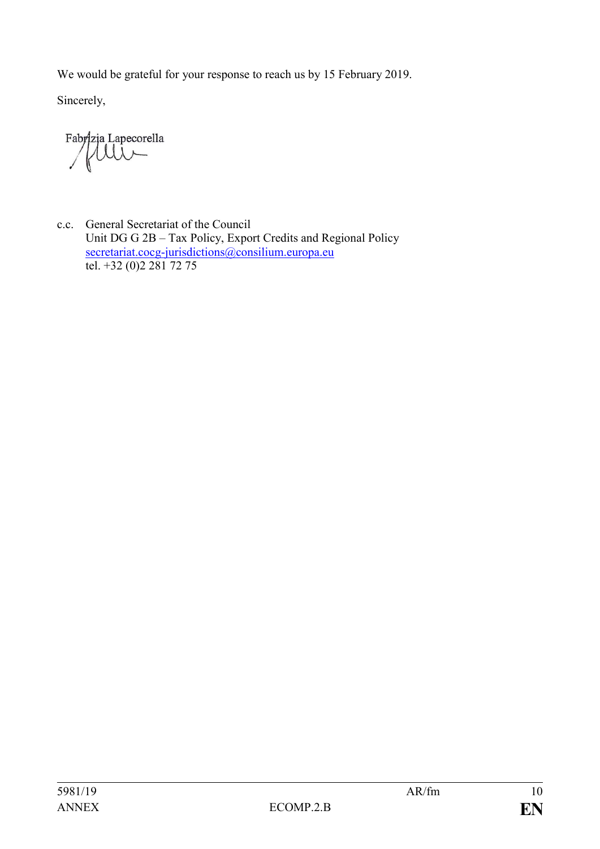We would be grateful for your response to reach us by 15 February 2019.

Sincerely,

Fabrizja Lapecorella

c.c. General Secretariat of the Council Unit DG G 2B – Tax Policy, Export Credits and Regional Policy [secretariat.cocg-jurisdictions@consilium.europa.eu](mailto:secretariat.cocg-jurisdictions@consilium.europa.eu) tel. +32 (0)2 281 72 75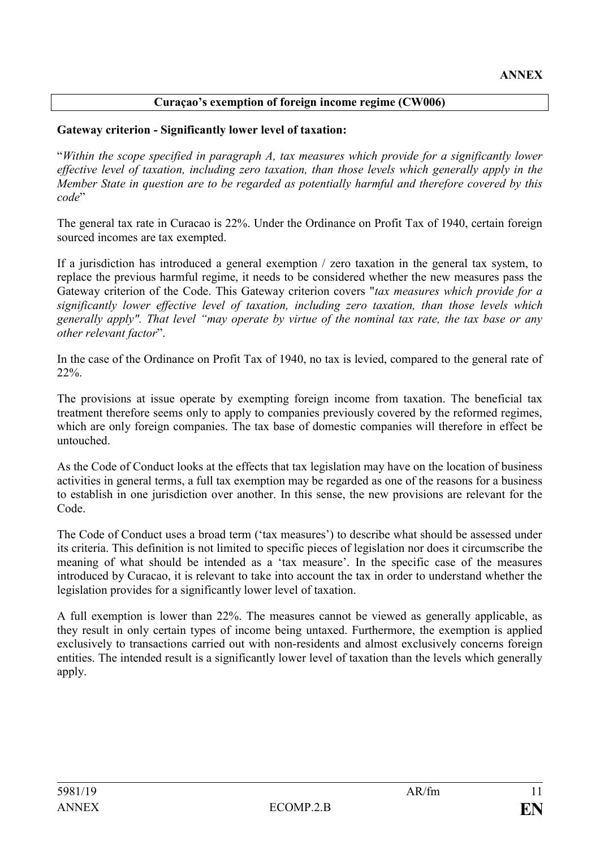## **Curaçao's exemption of foreign income regime (CW006)**

### **Gateway criterion - Significantly lower level of taxation:**

"*Within the scope specified in paragraph A, tax measures which provide for a significantly lower effective level of taxation, including zero taxation, than those levels which generally apply in the Member State in question are to be regarded as potentially harmful and therefore covered by this code*"

The general tax rate in Curacao is 22%. Under the Ordinance on Profit Tax of 1940, certain foreign sourced incomes are tax exempted.

If a jurisdiction has introduced a general exemption / zero taxation in the general tax system, to replace the previous harmful regime, it needs to be considered whether the new measures pass the Gateway criterion of the Code. This Gateway criterion covers "*tax measures which provide for a significantly lower effective level of taxation, including zero taxation, than those levels which generally apply". That level "may operate by virtue of the nominal tax rate, the tax base or any other relevant factor*".

In the case of the Ordinance on Profit Tax of 1940, no tax is levied, compared to the general rate of 22%.

The provisions at issue operate by exempting foreign income from taxation. The beneficial tax treatment therefore seems only to apply to companies previously covered by the reformed regimes, which are only foreign companies. The tax base of domestic companies will therefore in effect be untouched.

As the Code of Conduct looks at the effects that tax legislation may have on the location of business activities in general terms, a full tax exemption may be regarded as one of the reasons for a business to establish in one jurisdiction over another. In this sense, the new provisions are relevant for the Code.

The Code of Conduct uses a broad term ('tax measures') to describe what should be assessed under its criteria. This definition is not limited to specific pieces of legislation nor does it circumscribe the meaning of what should be intended as a 'tax measure'. In the specific case of the measures introduced by Curacao, it is relevant to take into account the tax in order to understand whether the legislation provides for a significantly lower level of taxation.

A full exemption is lower than 22%. The measures cannot be viewed as generally applicable, as they result in only certain types of income being untaxed. Furthermore, the exemption is applied exclusively to transactions carried out with non-residents and almost exclusively concerns foreign entities. The intended result is a significantly lower level of taxation than the levels which generally apply.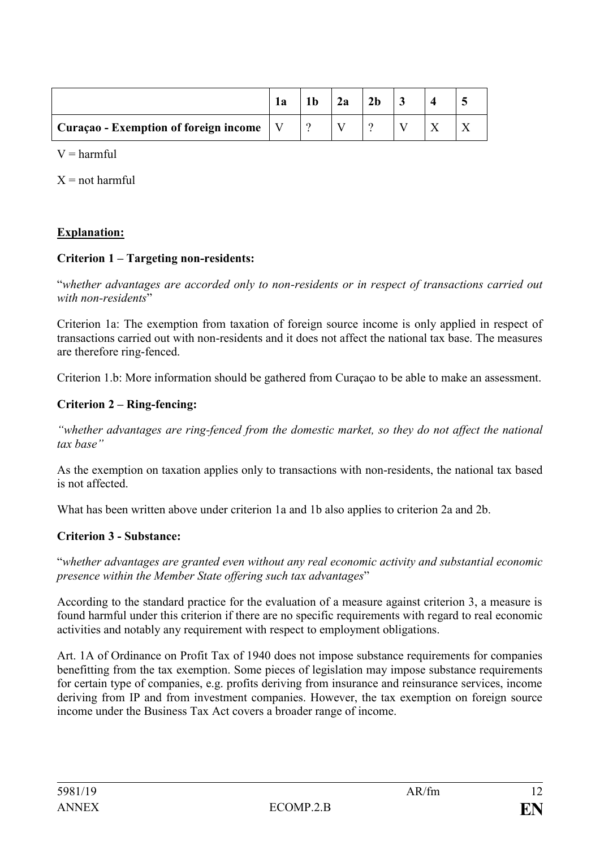|                                       | 1a | 2a | 2 <sub>b</sub> |  |  |
|---------------------------------------|----|----|----------------|--|--|
| Curaçao - Exemption of foreign income |    |    |                |  |  |

 $V =$  harmful

 $X = not$  harmful

## **Explanation:**

#### **Criterion 1 – Targeting non-residents:**

"*whether advantages are accorded only to non-residents or in respect of transactions carried out with non-residents*"

Criterion 1a: The exemption from taxation of foreign source income is only applied in respect of transactions carried out with non-residents and it does not affect the national tax base. The measures are therefore ring-fenced.

Criterion 1.b: More information should be gathered from Curaçao to be able to make an assessment.

#### **Criterion 2 – Ring-fencing:**

*"whether advantages are ring-fenced from the domestic market, so they do not affect the national tax base"*

As the exemption on taxation applies only to transactions with non-residents, the national tax based is not affected.

What has been written above under criterion 1a and 1b also applies to criterion 2a and 2b.

#### **Criterion 3 - Substance:**

"*whether advantages are granted even without any real economic activity and substantial economic presence within the Member State offering such tax advantages*"

According to the standard practice for the evaluation of a measure against criterion 3, a measure is found harmful under this criterion if there are no specific requirements with regard to real economic activities and notably any requirement with respect to employment obligations.

Art. 1A of Ordinance on Profit Tax of 1940 does not impose substance requirements for companies benefitting from the tax exemption. Some pieces of legislation may impose substance requirements for certain type of companies, e.g. profits deriving from insurance and reinsurance services, income deriving from IP and from investment companies. However, the tax exemption on foreign source income under the Business Tax Act covers a broader range of income.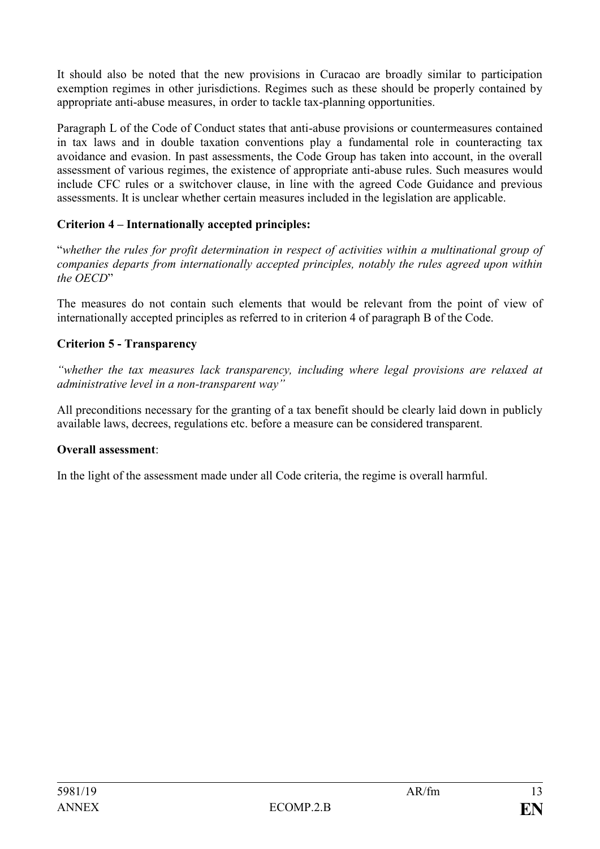It should also be noted that the new provisions in Curacao are broadly similar to participation exemption regimes in other jurisdictions. Regimes such as these should be properly contained by appropriate anti-abuse measures, in order to tackle tax-planning opportunities.

Paragraph L of the Code of Conduct states that anti-abuse provisions or countermeasures contained in tax laws and in double taxation conventions play a fundamental role in counteracting tax avoidance and evasion. In past assessments, the Code Group has taken into account, in the overall assessment of various regimes, the existence of appropriate anti-abuse rules. Such measures would include CFC rules or a switchover clause, in line with the agreed Code Guidance and previous assessments. It is unclear whether certain measures included in the legislation are applicable.

# **Criterion 4 – Internationally accepted principles:**

"*whether the rules for profit determination in respect of activities within a multinational group of companies departs from internationally accepted principles, notably the rules agreed upon within the OECD*"

The measures do not contain such elements that would be relevant from the point of view of internationally accepted principles as referred to in criterion 4 of paragraph B of the Code.

## **Criterion 5 - Transparency**

*"whether the tax measures lack transparency, including where legal provisions are relaxed at administrative level in a non-transparent way"*

All preconditions necessary for the granting of a tax benefit should be clearly laid down in publicly available laws, decrees, regulations etc. before a measure can be considered transparent.

## **Overall assessment**:

In the light of the assessment made under all Code criteria, the regime is overall harmful.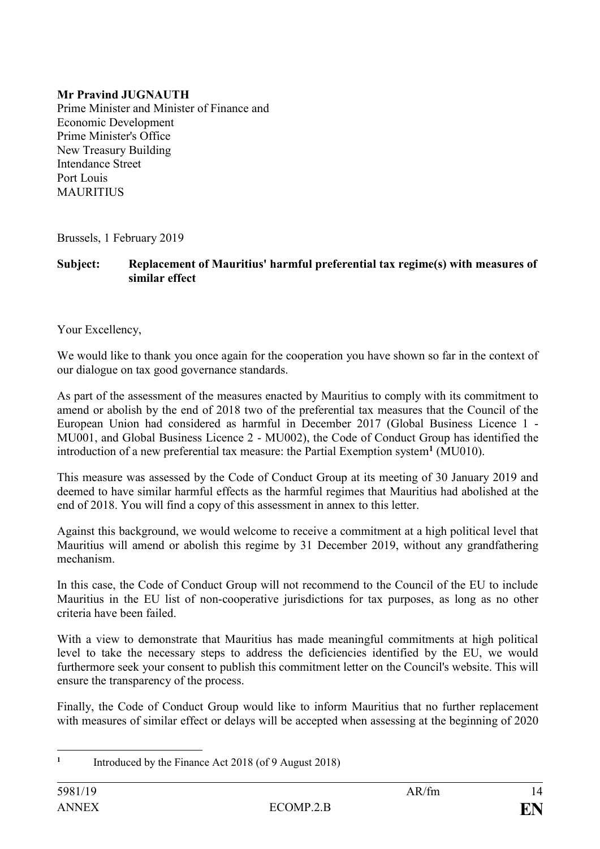## **Mr Pravind JUGNAUTH**

Prime Minister and Minister of Finance and Economic Development Prime Minister's Office New Treasury Building Intendance Street Port Louis MAURITIUS

Brussels, 1 February 2019

**Subject: Replacement of Mauritius' harmful preferential tax regime(s) with measures of similar effect**

Your Excellency,

We would like to thank you once again for the cooperation you have shown so far in the context of our dialogue on tax good governance standards.

As part of the assessment of the measures enacted by Mauritius to comply with its commitment to amend or abolish by the end of 2018 two of the preferential tax measures that the Council of the European Union had considered as harmful in December 2017 (Global Business Licence 1 - MU001, and Global Business Licence 2 - MU002), the Code of Conduct Group has identified the introduction of a new preferential tax measure: the Partial Exemption system**<sup>1</sup>** (MU010).

This measure was assessed by the Code of Conduct Group at its meeting of 30 January 2019 and deemed to have similar harmful effects as the harmful regimes that Mauritius had abolished at the end of 2018. You will find a copy of this assessment in annex to this letter.

Against this background, we would welcome to receive a commitment at a high political level that Mauritius will amend or abolish this regime by 31 December 2019, without any grandfathering mechanism.

In this case, the Code of Conduct Group will not recommend to the Council of the EU to include Mauritius in the EU list of non-cooperative jurisdictions for tax purposes, as long as no other criteria have been failed.

With a view to demonstrate that Mauritius has made meaningful commitments at high political level to take the necessary steps to address the deficiencies identified by the EU, we would furthermore seek your consent to publish this commitment letter on the Council's website. This will ensure the transparency of the process.

Finally, the Code of Conduct Group would like to inform Mauritius that no further replacement with measures of similar effect or delays will be accepted when assessing at the beginning of 2020

<sup>1</sup> **1** Introduced by the Finance Act 2018 (of 9 August 2018)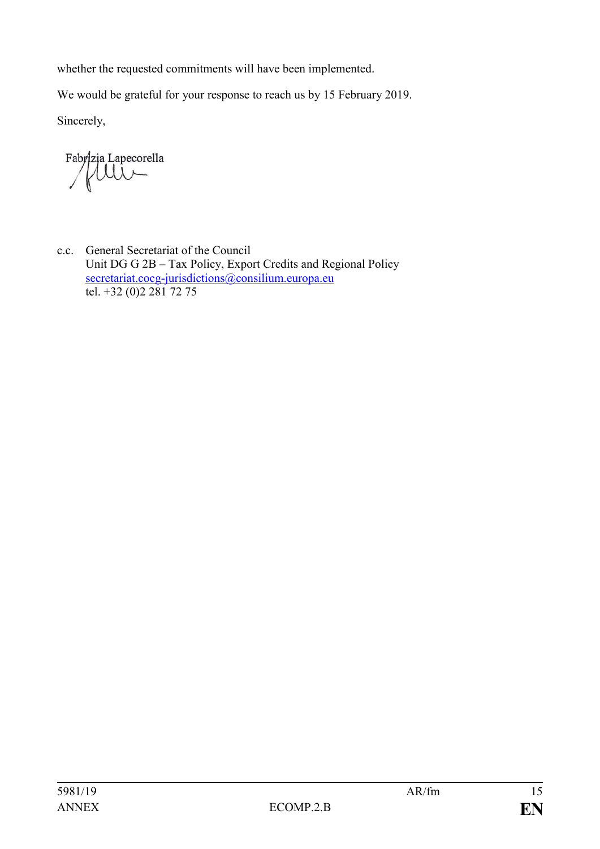whether the requested commitments will have been implemented.

We would be grateful for your response to reach us by 15 February 2019.

Sincerely,

Fabrizia Lapecorella

c.c. General Secretariat of the Council Unit DG G 2B – Tax Policy, Export Credits and Regional Policy [secretariat.cocg-jurisdictions@consilium.europa.eu](mailto:secretariat.cocg-jurisdictions@consilium.europa.eu) tel.  $+32(0)22817275$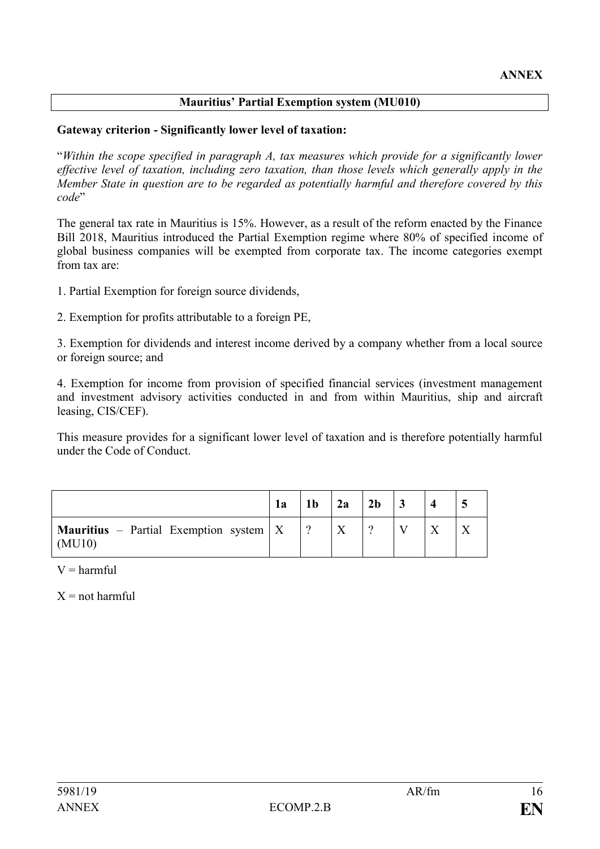## **Mauritius' Partial Exemption system (MU010)**

### **Gateway criterion - Significantly lower level of taxation:**

"*Within the scope specified in paragraph A, tax measures which provide for a significantly lower effective level of taxation, including zero taxation, than those levels which generally apply in the Member State in question are to be regarded as potentially harmful and therefore covered by this code*"

The general tax rate in Mauritius is 15%. However, as a result of the reform enacted by the Finance Bill 2018, Mauritius introduced the Partial Exemption regime where 80% of specified income of global business companies will be exempted from corporate tax. The income categories exempt from tax are:

1. Partial Exemption for foreign source dividends,

2. Exemption for profits attributable to a foreign PE,

3. Exemption for dividends and interest income derived by a company whether from a local source or foreign source; and

4. Exemption for income from provision of specified financial services (investment management and investment advisory activities conducted in and from within Mauritius, ship and aircraft leasing, CIS/CEF).

This measure provides for a significant lower level of taxation and is therefore potentially harmful under the Code of Conduct.

|                                                           | 1a | 1 <sub>b</sub> | 2a | 2 <sub>b</sub> |  |  |
|-----------------------------------------------------------|----|----------------|----|----------------|--|--|
| <b>Mauritius</b> – Partial Exemption system $X$<br>(MU10) |    |                |    |                |  |  |

 $V =$  harmful

 $X = not$  harmful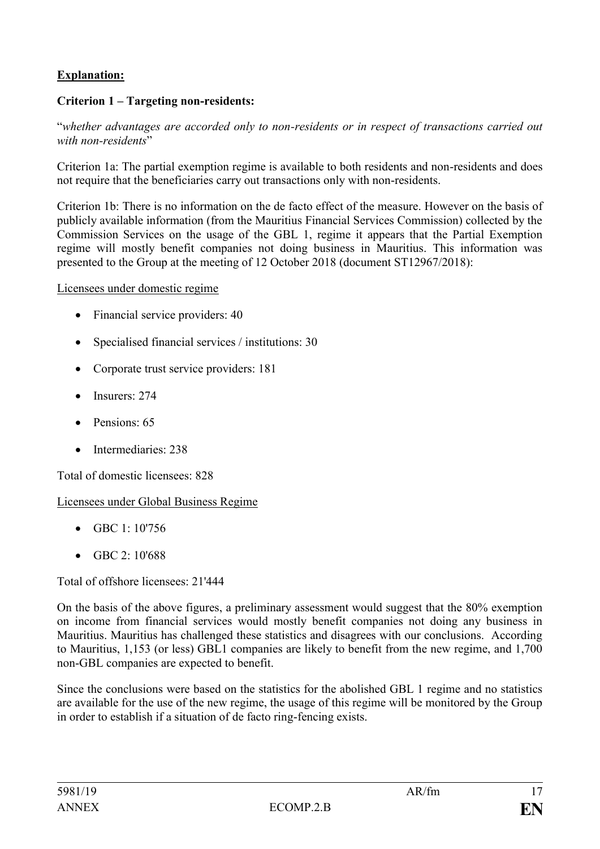# **Explanation:**

## **Criterion 1 – Targeting non-residents:**

"*whether advantages are accorded only to non-residents or in respect of transactions carried out with non-residents*"

Criterion 1a: The partial exemption regime is available to both residents and non-residents and does not require that the beneficiaries carry out transactions only with non-residents.

Criterion 1b: There is no information on the de facto effect of the measure. However on the basis of publicly available information (from the Mauritius Financial Services Commission) collected by the Commission Services on the usage of the GBL 1, regime it appears that the Partial Exemption regime will mostly benefit companies not doing business in Mauritius. This information was presented to the Group at the meeting of 12 October 2018 (document ST12967/2018):

Licensees under domestic regime

- Financial service providers: 40
- Specialised financial services / institutions: 30
- Corporate trust service providers: 181
- Insurers: 274
- Pensions: 65
- Intermediaries: 238

Total of domestic licensees: 828

Licensees under Global Business Regime

- GBC  $1:10'756$
- GBC 2: 10'688

Total of offshore licensees: 21'444

On the basis of the above figures, a preliminary assessment would suggest that the 80% exemption on income from financial services would mostly benefit companies not doing any business in Mauritius. Mauritius has challenged these statistics and disagrees with our conclusions. According to Mauritius, 1,153 (or less) GBL1 companies are likely to benefit from the new regime, and 1,700 non-GBL companies are expected to benefit.

Since the conclusions were based on the statistics for the abolished GBL 1 regime and no statistics are available for the use of the new regime, the usage of this regime will be monitored by the Group in order to establish if a situation of de facto ring-fencing exists.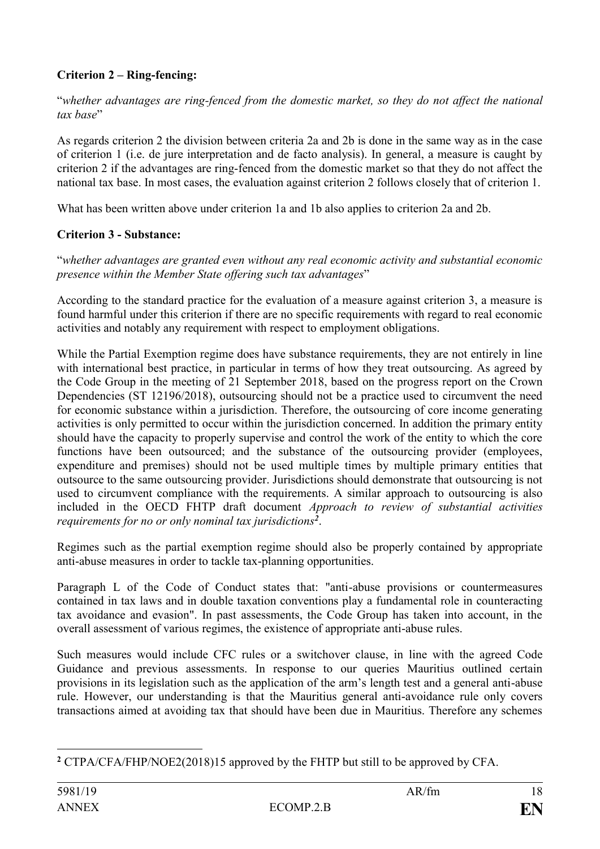## **Criterion 2 – Ring-fencing:**

"*whether advantages are ring-fenced from the domestic market, so they do not affect the national tax base*"

As regards criterion 2 the division between criteria 2a and 2b is done in the same way as in the case of criterion 1 (i.e. de jure interpretation and de facto analysis). In general, a measure is caught by criterion 2 if the advantages are ring-fenced from the domestic market so that they do not affect the national tax base. In most cases, the evaluation against criterion 2 follows closely that of criterion 1.

What has been written above under criterion 1a and 1b also applies to criterion 2a and 2b.

## **Criterion 3 - Substance:**

"*whether advantages are granted even without any real economic activity and substantial economic presence within the Member State offering such tax advantages*"

According to the standard practice for the evaluation of a measure against criterion 3, a measure is found harmful under this criterion if there are no specific requirements with regard to real economic activities and notably any requirement with respect to employment obligations.

While the Partial Exemption regime does have substance requirements, they are not entirely in line with international best practice, in particular in terms of how they treat outsourcing. As agreed by the Code Group in the meeting of 21 September 2018, based on the progress report on the Crown Dependencies (ST 12196/2018), outsourcing should not be a practice used to circumvent the need for economic substance within a jurisdiction. Therefore, the outsourcing of core income generating activities is only permitted to occur within the jurisdiction concerned. In addition the primary entity should have the capacity to properly supervise and control the work of the entity to which the core functions have been outsourced; and the substance of the outsourcing provider (employees, expenditure and premises) should not be used multiple times by multiple primary entities that outsource to the same outsourcing provider. Jurisdictions should demonstrate that outsourcing is not used to circumvent compliance with the requirements. A similar approach to outsourcing is also included in the OECD FHTP draft document *Approach to review of substantial activities requirements for no or only nominal tax jurisdictions<sup>2</sup>* .

Regimes such as the partial exemption regime should also be properly contained by appropriate anti-abuse measures in order to tackle tax-planning opportunities.

Paragraph L of the Code of Conduct states that: "anti-abuse provisions or countermeasures contained in tax laws and in double taxation conventions play a fundamental role in counteracting tax avoidance and evasion". In past assessments, the Code Group has taken into account, in the overall assessment of various regimes, the existence of appropriate anti-abuse rules.

Such measures would include CFC rules or a switchover clause, in line with the agreed Code Guidance and previous assessments. In response to our queries Mauritius outlined certain provisions in its legislation such as the application of the arm's length test and a general anti-abuse rule. However, our understanding is that the Mauritius general anti-avoidance rule only covers transactions aimed at avoiding tax that should have been due in Mauritius. Therefore any schemes

<sup>1</sup> **<sup>2</sup>** CTPA/CFA/FHP/NOE2(2018)15 approved by the FHTP but still to be approved by CFA.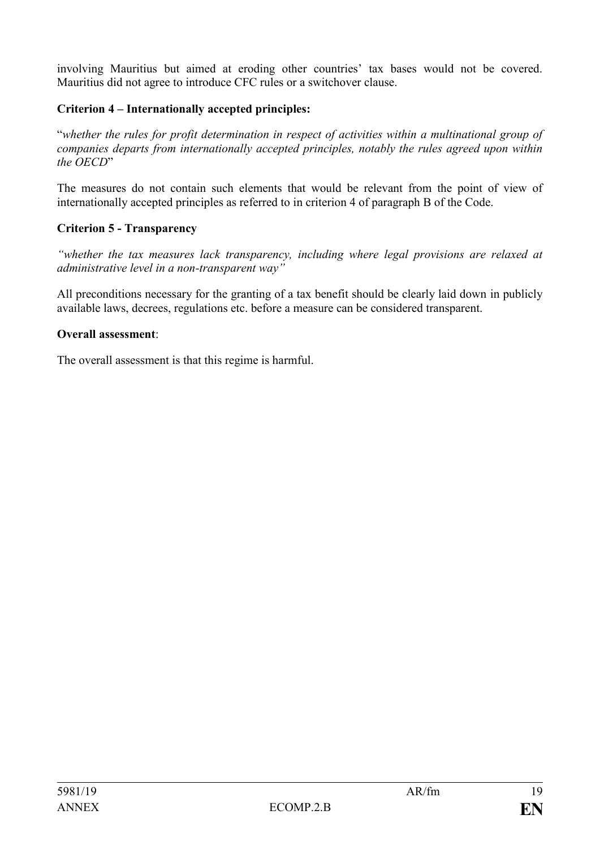involving Mauritius but aimed at eroding other countries' tax bases would not be covered. Mauritius did not agree to introduce CFC rules or a switchover clause.

## **Criterion 4 – Internationally accepted principles:**

"*whether the rules for profit determination in respect of activities within a multinational group of companies departs from internationally accepted principles, notably the rules agreed upon within the OECD*"

The measures do not contain such elements that would be relevant from the point of view of internationally accepted principles as referred to in criterion 4 of paragraph B of the Code.

## **Criterion 5 - Transparency**

*"whether the tax measures lack transparency, including where legal provisions are relaxed at administrative level in a non-transparent way"*

All preconditions necessary for the granting of a tax benefit should be clearly laid down in publicly available laws, decrees, regulations etc. before a measure can be considered transparent.

### **Overall assessment**:

The overall assessment is that this regime is harmful.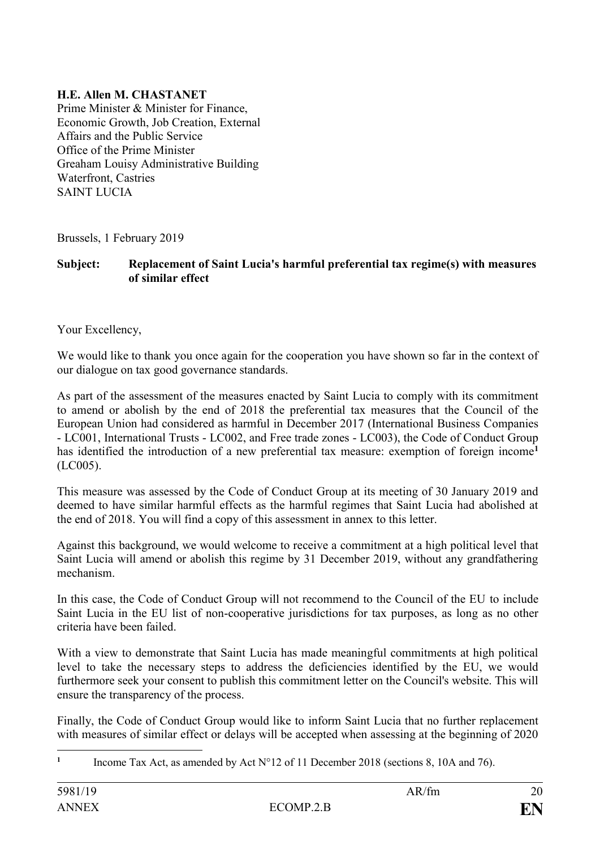## **H.E. Allen M. CHASTANET**

Prime Minister & Minister for Finance, Economic Growth, Job Creation, External Affairs and the Public Service Office of the Prime Minister Greaham Louisy Administrative Building Waterfront, Castries SAINT LUCIA

Brussels, 1 February 2019

**Subject: Replacement of Saint Lucia's harmful preferential tax regime(s) with measures of similar effect**

Your Excellency,

We would like to thank you once again for the cooperation you have shown so far in the context of our dialogue on tax good governance standards.

As part of the assessment of the measures enacted by Saint Lucia to comply with its commitment to amend or abolish by the end of 2018 the preferential tax measures that the Council of the European Union had considered as harmful in December 2017 (International Business Companies - LC001, International Trusts - LC002, and Free trade zones - LC003), the Code of Conduct Group has identified the introduction of a new preferential tax measure: exemption of foreign income**<sup>1</sup>** (LC005).

This measure was assessed by the Code of Conduct Group at its meeting of 30 January 2019 and deemed to have similar harmful effects as the harmful regimes that Saint Lucia had abolished at the end of 2018. You will find a copy of this assessment in annex to this letter.

Against this background, we would welcome to receive a commitment at a high political level that Saint Lucia will amend or abolish this regime by 31 December 2019, without any grandfathering mechanism.

In this case, the Code of Conduct Group will not recommend to the Council of the EU to include Saint Lucia in the EU list of non-cooperative jurisdictions for tax purposes, as long as no other criteria have been failed.

With a view to demonstrate that Saint Lucia has made meaningful commitments at high political level to take the necessary steps to address the deficiencies identified by the EU, we would furthermore seek your consent to publish this commitment letter on the Council's website. This will ensure the transparency of the process.

Finally, the Code of Conduct Group would like to inform Saint Lucia that no further replacement with measures of similar effect or delays will be accepted when assessing at the beginning of 2020

<sup>1</sup> **1** Income Tax Act, as amended by Act N°12 of 11 December 2018 (sections 8, 10A and 76).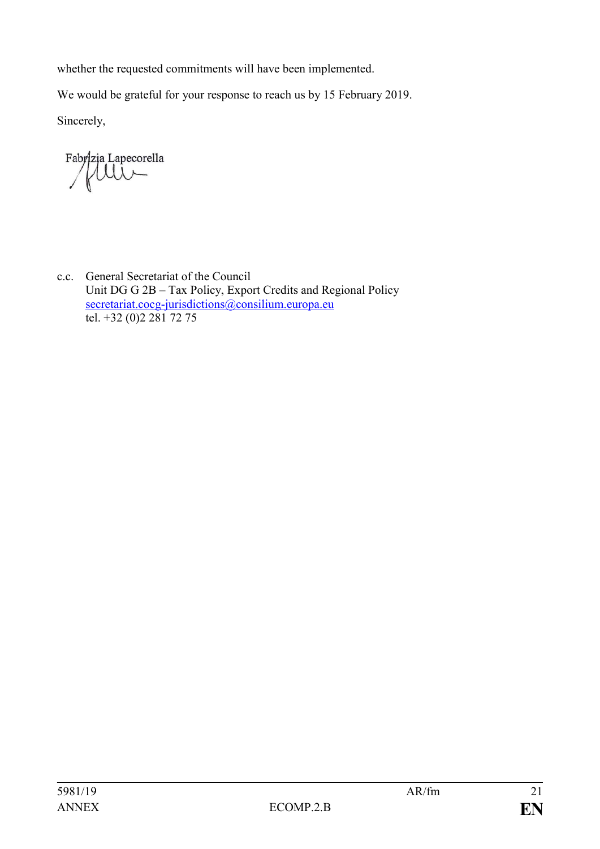whether the requested commitments will have been implemented.

We would be grateful for your response to reach us by 15 February 2019.

Sincerely,

Fabrizia Lapecorella

c.c. General Secretariat of the Council Unit DG G 2B – Tax Policy, Export Credits and Regional Policy [secretariat.cocg-jurisdictions@consilium.europa.eu](mailto:secretariat.cocg-jurisdictions@consilium.europa.eu) tel. +32 (0)2 281 72 75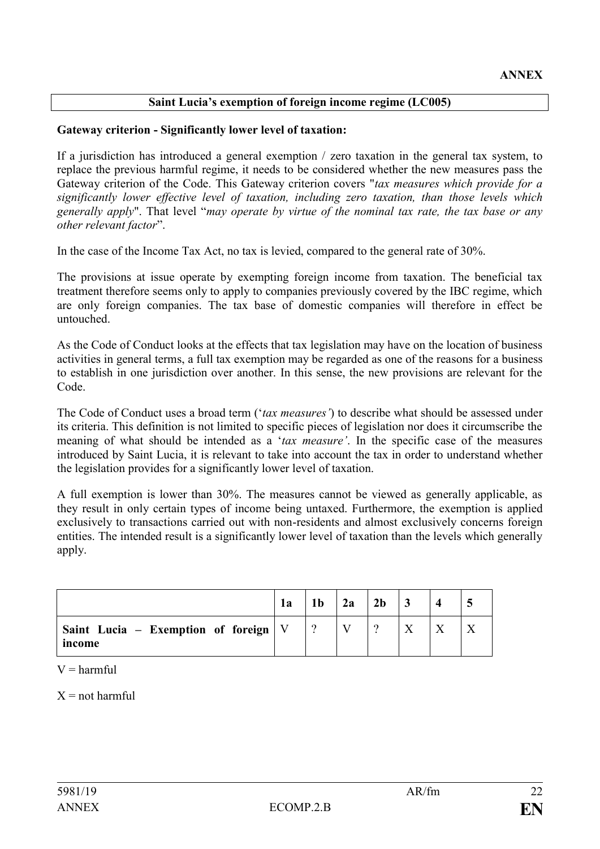## **Saint Lucia's exemption of foreign income regime (LC005)**

### **Gateway criterion - Significantly lower level of taxation:**

If a jurisdiction has introduced a general exemption / zero taxation in the general tax system, to replace the previous harmful regime, it needs to be considered whether the new measures pass the Gateway criterion of the Code. This Gateway criterion covers "*tax measures which provide for a significantly lower effective level of taxation, including zero taxation, than those levels which generally apply*". That level "*may operate by virtue of the nominal tax rate, the tax base or any other relevant factor*".

In the case of the Income Tax Act, no tax is levied, compared to the general rate of 30%.

The provisions at issue operate by exempting foreign income from taxation. The beneficial tax treatment therefore seems only to apply to companies previously covered by the IBC regime, which are only foreign companies. The tax base of domestic companies will therefore in effect be untouched.

As the Code of Conduct looks at the effects that tax legislation may have on the location of business activities in general terms, a full tax exemption may be regarded as one of the reasons for a business to establish in one jurisdiction over another. In this sense, the new provisions are relevant for the Code.

The Code of Conduct uses a broad term ('*tax measures'*) to describe what should be assessed under its criteria. This definition is not limited to specific pieces of legislation nor does it circumscribe the meaning of what should be intended as a '*tax measure'*. In the specific case of the measures introduced by Saint Lucia, it is relevant to take into account the tax in order to understand whether the legislation provides for a significantly lower level of taxation.

A full exemption is lower than 30%. The measures cannot be viewed as generally applicable, as they result in only certain types of income being untaxed. Furthermore, the exemption is applied exclusively to transactions carried out with non-residents and almost exclusively concerns foreign entities. The intended result is a significantly lower level of taxation than the levels which generally apply.

|                                                    | 1a |          | 2a | 2 <sub>b</sub> |  |  |
|----------------------------------------------------|----|----------|----|----------------|--|--|
| Saint Lucia – Exemption of foreign $ V $<br>income |    | $\Omega$ |    |                |  |  |

 $V =$  harmful

 $X = not$  harmful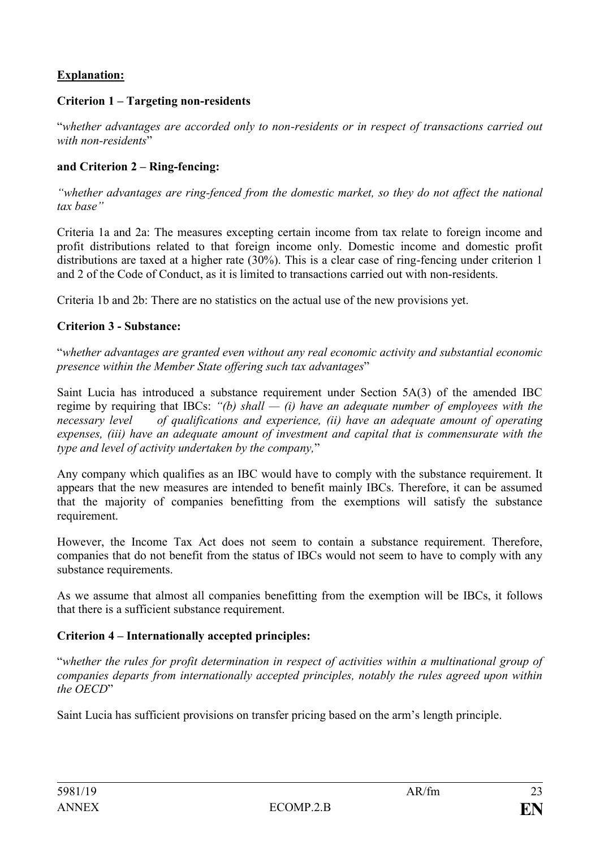## **Explanation:**

## **Criterion 1 – Targeting non-residents**

"*whether advantages are accorded only to non-residents or in respect of transactions carried out with non-residents*"

## **and Criterion 2 – Ring-fencing:**

*"whether advantages are ring-fenced from the domestic market, so they do not affect the national tax base"*

Criteria 1a and 2a: The measures excepting certain income from tax relate to foreign income and profit distributions related to that foreign income only. Domestic income and domestic profit distributions are taxed at a higher rate (30%). This is a clear case of ring-fencing under criterion 1 and 2 of the Code of Conduct, as it is limited to transactions carried out with non-residents.

Criteria 1b and 2b: There are no statistics on the actual use of the new provisions yet.

## **Criterion 3 - Substance:**

"*whether advantages are granted even without any real economic activity and substantial economic presence within the Member State offering such tax advantages*"

Saint Lucia has introduced a substance requirement under Section 5A(3) of the amended IBC regime by requiring that IBCs: *"(b) shall — (i) have an adequate number of employees with the necessary level of qualifications and experience, (ii) have an adequate amount of operating expenses, (iii) have an adequate amount of investment and capital that is commensurate with the type and level of activity undertaken by the company,*"

Any company which qualifies as an IBC would have to comply with the substance requirement. It appears that the new measures are intended to benefit mainly IBCs. Therefore, it can be assumed that the majority of companies benefitting from the exemptions will satisfy the substance requirement.

However, the Income Tax Act does not seem to contain a substance requirement. Therefore, companies that do not benefit from the status of IBCs would not seem to have to comply with any substance requirements.

As we assume that almost all companies benefitting from the exemption will be IBCs, it follows that there is a sufficient substance requirement.

## **Criterion 4 – Internationally accepted principles:**

"*whether the rules for profit determination in respect of activities within a multinational group of companies departs from internationally accepted principles, notably the rules agreed upon within the OECD*"

Saint Lucia has sufficient provisions on transfer pricing based on the arm's length principle.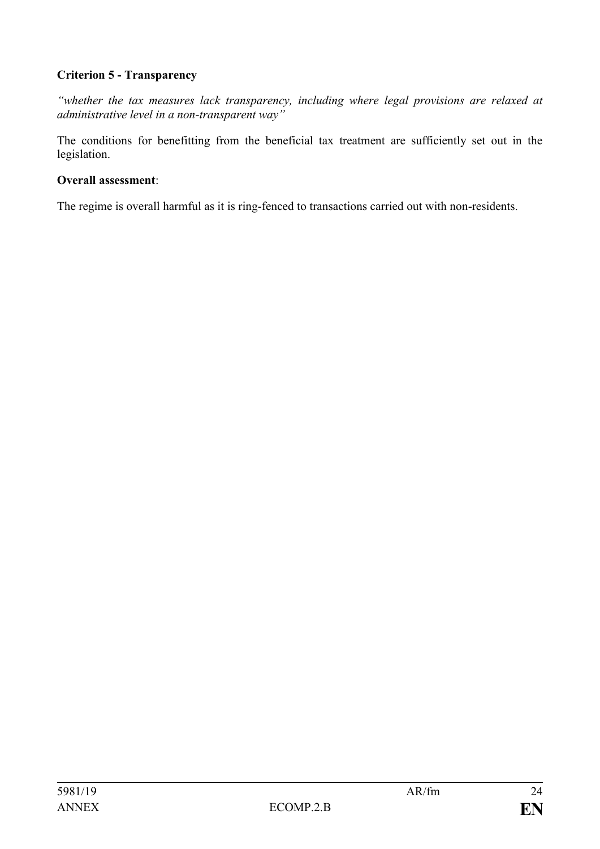## **Criterion 5 - Transparency**

*"whether the tax measures lack transparency, including where legal provisions are relaxed at administrative level in a non-transparent way"*

The conditions for benefitting from the beneficial tax treatment are sufficiently set out in the legislation.

### **Overall assessment**:

The regime is overall harmful as it is ring-fenced to transactions carried out with non-residents.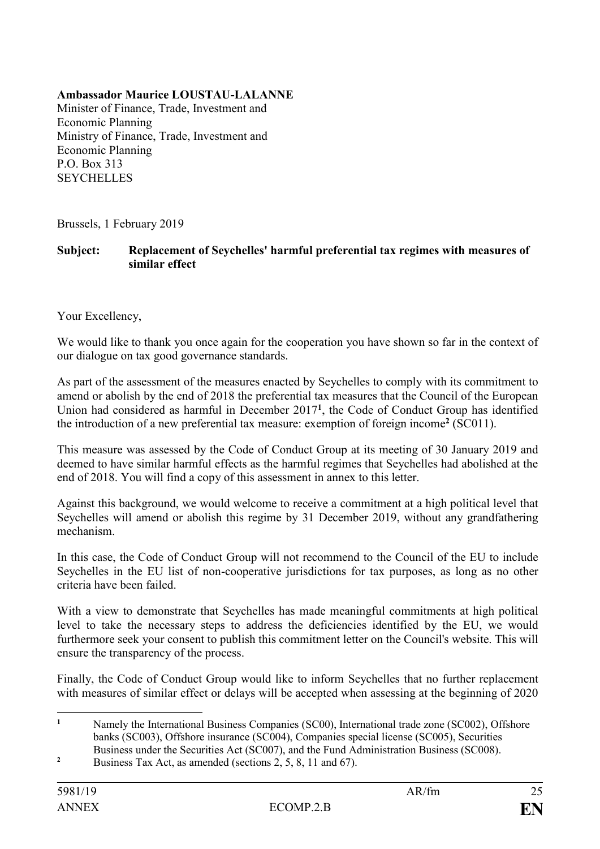## **Ambassador Maurice LOUSTAU-LALANNE**

Minister of Finance, Trade, Investment and Economic Planning Ministry of Finance, Trade, Investment and Economic Planning P.O. Box 313 **SEYCHELLES** 

Brussels, 1 February 2019

## **Subject: Replacement of Seychelles' harmful preferential tax regimes with measures of similar effect**

Your Excellency,

We would like to thank you once again for the cooperation you have shown so far in the context of our dialogue on tax good governance standards.

As part of the assessment of the measures enacted by Seychelles to comply with its commitment to amend or abolish by the end of 2018 the preferential tax measures that the Council of the European Union had considered as harmful in December 2017**<sup>1</sup>** , the Code of Conduct Group has identified the introduction of a new preferential tax measure: exemption of foreign income **2** (SC011).

This measure was assessed by the Code of Conduct Group at its meeting of 30 January 2019 and deemed to have similar harmful effects as the harmful regimes that Seychelles had abolished at the end of 2018. You will find a copy of this assessment in annex to this letter.

Against this background, we would welcome to receive a commitment at a high political level that Seychelles will amend or abolish this regime by 31 December 2019, without any grandfathering mechanism.

In this case, the Code of Conduct Group will not recommend to the Council of the EU to include Seychelles in the EU list of non-cooperative jurisdictions for tax purposes, as long as no other criteria have been failed.

With a view to demonstrate that Seychelles has made meaningful commitments at high political level to take the necessary steps to address the deficiencies identified by the EU, we would furthermore seek your consent to publish this commitment letter on the Council's website. This will ensure the transparency of the process.

Finally, the Code of Conduct Group would like to inform Seychelles that no further replacement with measures of similar effect or delays will be accepted when assessing at the beginning of 2020

<sup>2</sup> Business Tax Act, as amended (sections 2, 5, 8, 11 and 67).

 $\mathbf{1}$ **<sup>1</sup>** Namely the International Business Companies (SC00), International trade zone (SC002), Offshore banks (SC003), Offshore insurance (SC004), Companies special license (SC005), Securities Business under the Securities Act (SC007), and the Fund Administration Business (SC008).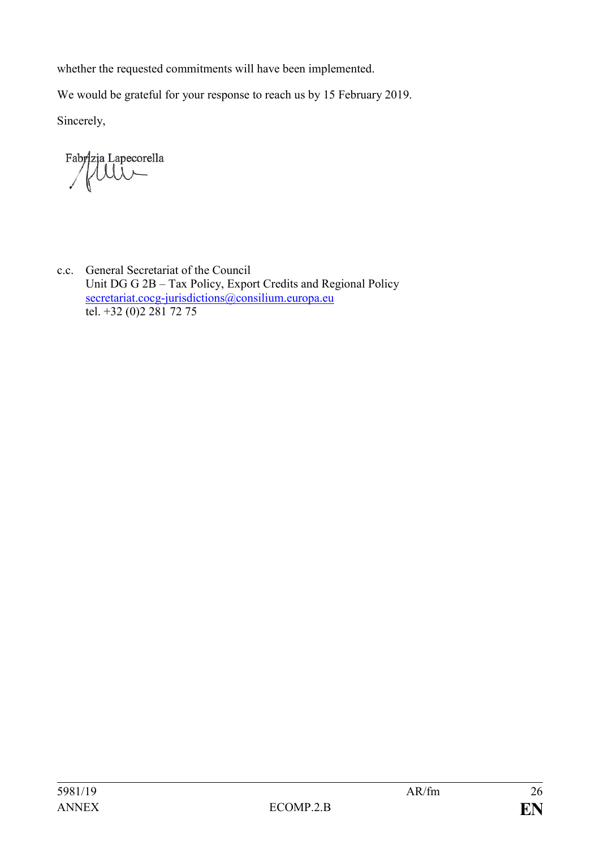whether the requested commitments will have been implemented.

We would be grateful for your response to reach us by 15 February 2019.

Sincerely,

Fabrizia Lapecorella  $\mathbf{1}$ 

c.c. General Secretariat of the Council Unit DG G 2B – Tax Policy, Export Credits and Regional Policy [secretariat.cocg-jurisdictions@consilium.europa.eu](mailto:secretariat.cocg-jurisdictions@consilium.europa.eu) tel. +32 (0)2 281 72 75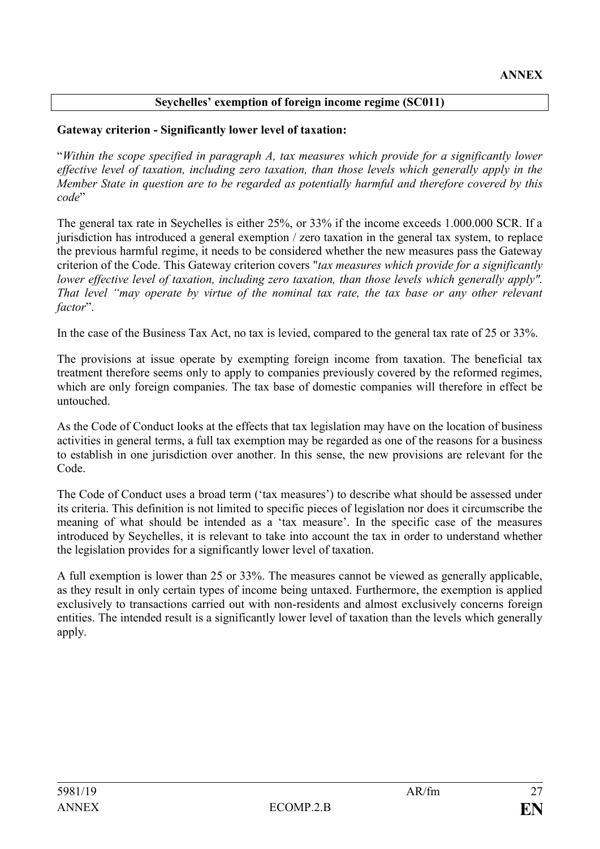## **Seychelles' exemption of foreign income regime (SC011)**

### **Gateway criterion - Significantly lower level of taxation:**

"*Within the scope specified in paragraph A, tax measures which provide for a significantly lower effective level of taxation, including zero taxation, than those levels which generally apply in the Member State in question are to be regarded as potentially harmful and therefore covered by this code*"

The general tax rate in Seychelles is either 25%, or 33% if the income exceeds 1.000.000 SCR. If a jurisdiction has introduced a general exemption / zero taxation in the general tax system, to replace the previous harmful regime, it needs to be considered whether the new measures pass the Gateway criterion of the Code. This Gateway criterion covers "*tax measures which provide for a significantly lower effective level of taxation, including zero taxation, than those levels which generally apply". That level "may operate by virtue of the nominal tax rate, the tax base or any other relevant factor*".

In the case of the Business Tax Act, no tax is levied, compared to the general tax rate of 25 or 33%.

The provisions at issue operate by exempting foreign income from taxation. The beneficial tax treatment therefore seems only to apply to companies previously covered by the reformed regimes, which are only foreign companies. The tax base of domestic companies will therefore in effect be untouched.

As the Code of Conduct looks at the effects that tax legislation may have on the location of business activities in general terms, a full tax exemption may be regarded as one of the reasons for a business to establish in one jurisdiction over another. In this sense, the new provisions are relevant for the Code.

The Code of Conduct uses a broad term ('tax measures') to describe what should be assessed under its criteria. This definition is not limited to specific pieces of legislation nor does it circumscribe the meaning of what should be intended as a 'tax measure'. In the specific case of the measures introduced by Seychelles, it is relevant to take into account the tax in order to understand whether the legislation provides for a significantly lower level of taxation.

A full exemption is lower than 25 or 33%. The measures cannot be viewed as generally applicable, as they result in only certain types of income being untaxed. Furthermore, the exemption is applied exclusively to transactions carried out with non-residents and almost exclusively concerns foreign entities. The intended result is a significantly lower level of taxation than the levels which generally apply.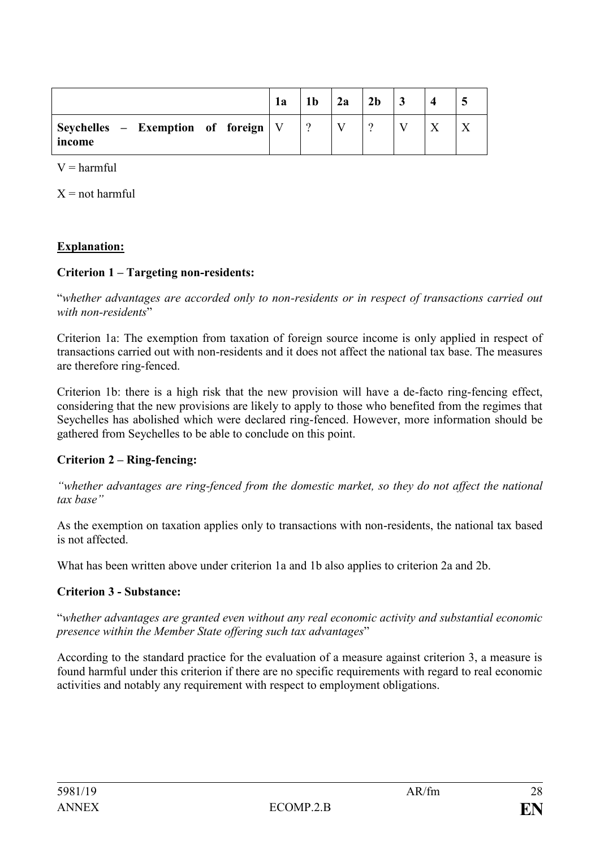|                                                       | 1a | 1 <sub>b</sub> | 2a | 2 <sub>b</sub> |  |  |
|-------------------------------------------------------|----|----------------|----|----------------|--|--|
| Seychelles – Exemption of foreign $\forall$<br>income |    |                |    |                |  |  |

 $V =$  harmful

 $X = not$  harmful

### **Explanation:**

### **Criterion 1 – Targeting non-residents:**

"*whether advantages are accorded only to non-residents or in respect of transactions carried out with non-residents*"

Criterion 1a: The exemption from taxation of foreign source income is only applied in respect of transactions carried out with non-residents and it does not affect the national tax base. The measures are therefore ring-fenced.

Criterion 1b: there is a high risk that the new provision will have a de-facto ring-fencing effect, considering that the new provisions are likely to apply to those who benefited from the regimes that Seychelles has abolished which were declared ring-fenced. However, more information should be gathered from Seychelles to be able to conclude on this point.

## **Criterion 2 – Ring-fencing:**

*"whether advantages are ring-fenced from the domestic market, so they do not affect the national tax base"*

As the exemption on taxation applies only to transactions with non-residents, the national tax based is not affected.

What has been written above under criterion 1a and 1b also applies to criterion 2a and 2b.

## **Criterion 3 - Substance:**

"*whether advantages are granted even without any real economic activity and substantial economic presence within the Member State offering such tax advantages*"

According to the standard practice for the evaluation of a measure against criterion 3, a measure is found harmful under this criterion if there are no specific requirements with regard to real economic activities and notably any requirement with respect to employment obligations.